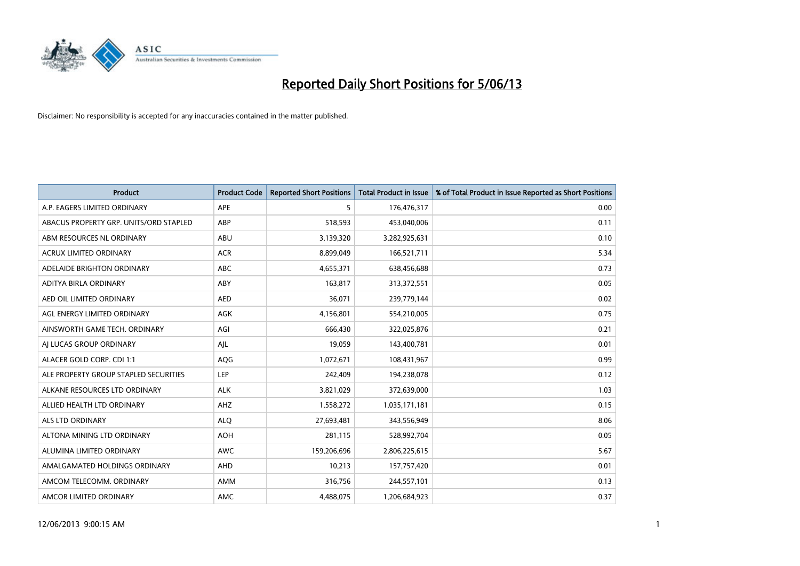

| <b>Product</b>                         | <b>Product Code</b> | <b>Reported Short Positions</b> | <b>Total Product in Issue</b> | % of Total Product in Issue Reported as Short Positions |
|----------------------------------------|---------------------|---------------------------------|-------------------------------|---------------------------------------------------------|
| A.P. EAGERS LIMITED ORDINARY           | APE                 | 5                               | 176,476,317                   | 0.00                                                    |
| ABACUS PROPERTY GRP. UNITS/ORD STAPLED | ABP                 | 518,593                         | 453,040,006                   | 0.11                                                    |
| ABM RESOURCES NL ORDINARY              | ABU                 | 3,139,320                       | 3,282,925,631                 | 0.10                                                    |
| ACRUX LIMITED ORDINARY                 | <b>ACR</b>          | 8,899,049                       | 166,521,711                   | 5.34                                                    |
| ADELAIDE BRIGHTON ORDINARY             | <b>ABC</b>          | 4,655,371                       | 638,456,688                   | 0.73                                                    |
| ADITYA BIRLA ORDINARY                  | ABY                 | 163,817                         | 313,372,551                   | 0.05                                                    |
| AED OIL LIMITED ORDINARY               | <b>AED</b>          | 36,071                          | 239,779,144                   | 0.02                                                    |
| AGL ENERGY LIMITED ORDINARY            | AGK                 | 4,156,801                       | 554,210,005                   | 0.75                                                    |
| AINSWORTH GAME TECH. ORDINARY          | AGI                 | 666,430                         | 322,025,876                   | 0.21                                                    |
| AI LUCAS GROUP ORDINARY                | AJL                 | 19,059                          | 143,400,781                   | 0.01                                                    |
| ALACER GOLD CORP. CDI 1:1              | AQG                 | 1,072,671                       | 108,431,967                   | 0.99                                                    |
| ALE PROPERTY GROUP STAPLED SECURITIES  | LEP                 | 242,409                         | 194,238,078                   | 0.12                                                    |
| ALKANE RESOURCES LTD ORDINARY          | <b>ALK</b>          | 3,821,029                       | 372,639,000                   | 1.03                                                    |
| ALLIED HEALTH LTD ORDINARY             | AHZ                 | 1,558,272                       | 1,035,171,181                 | 0.15                                                    |
| ALS LTD ORDINARY                       | <b>ALQ</b>          | 27,693,481                      | 343,556,949                   | 8.06                                                    |
| ALTONA MINING LTD ORDINARY             | <b>AOH</b>          | 281,115                         | 528,992,704                   | 0.05                                                    |
| ALUMINA LIMITED ORDINARY               | <b>AWC</b>          | 159,206,696                     | 2,806,225,615                 | 5.67                                                    |
| AMALGAMATED HOLDINGS ORDINARY          | AHD                 | 10,213                          | 157,757,420                   | 0.01                                                    |
| AMCOM TELECOMM. ORDINARY               | AMM                 | 316,756                         | 244,557,101                   | 0.13                                                    |
| AMCOR LIMITED ORDINARY                 | AMC                 | 4,488,075                       | 1,206,684,923                 | 0.37                                                    |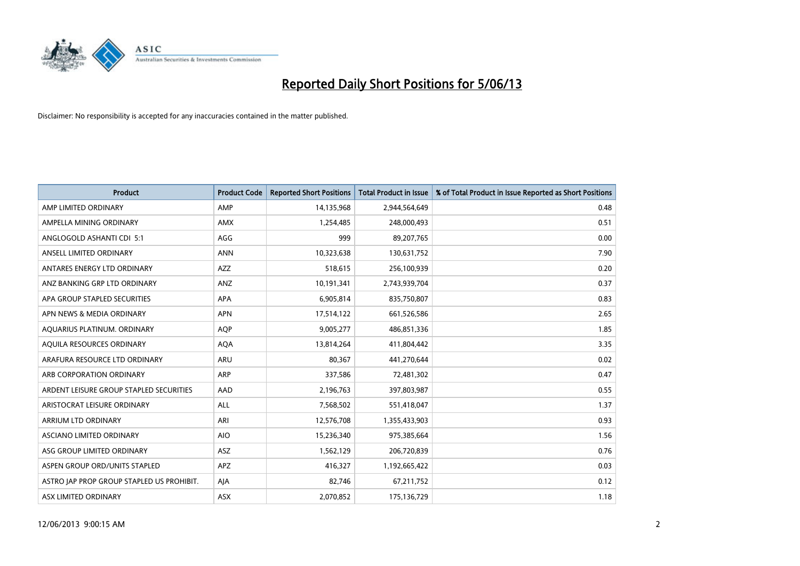

| <b>Product</b>                            | <b>Product Code</b> | <b>Reported Short Positions</b> | <b>Total Product in Issue</b> | % of Total Product in Issue Reported as Short Positions |
|-------------------------------------------|---------------------|---------------------------------|-------------------------------|---------------------------------------------------------|
| AMP LIMITED ORDINARY                      | AMP                 | 14,135,968                      | 2,944,564,649                 | 0.48                                                    |
| AMPELLA MINING ORDINARY                   | AMX                 | 1,254,485                       | 248,000,493                   | 0.51                                                    |
| ANGLOGOLD ASHANTI CDI 5:1                 | AGG                 | 999                             | 89,207,765                    | 0.00                                                    |
| ANSELL LIMITED ORDINARY                   | <b>ANN</b>          | 10,323,638                      | 130,631,752                   | 7.90                                                    |
| ANTARES ENERGY LTD ORDINARY               | <b>AZZ</b>          | 518,615                         | 256,100,939                   | 0.20                                                    |
| ANZ BANKING GRP LTD ORDINARY              | ANZ                 | 10,191,341                      | 2,743,939,704                 | 0.37                                                    |
| APA GROUP STAPLED SECURITIES              | APA                 | 6,905,814                       | 835,750,807                   | 0.83                                                    |
| APN NEWS & MEDIA ORDINARY                 | <b>APN</b>          | 17,514,122                      | 661,526,586                   | 2.65                                                    |
| AQUARIUS PLATINUM. ORDINARY               | <b>AOP</b>          | 9,005,277                       | 486,851,336                   | 1.85                                                    |
| AQUILA RESOURCES ORDINARY                 | <b>AQA</b>          | 13,814,264                      | 411,804,442                   | 3.35                                                    |
| ARAFURA RESOURCE LTD ORDINARY             | ARU                 | 80,367                          | 441,270,644                   | 0.02                                                    |
| ARB CORPORATION ORDINARY                  | ARP                 | 337,586                         | 72,481,302                    | 0.47                                                    |
| ARDENT LEISURE GROUP STAPLED SECURITIES   | AAD                 | 2,196,763                       | 397,803,987                   | 0.55                                                    |
| ARISTOCRAT LEISURE ORDINARY               | ALL                 | 7,568,502                       | 551,418,047                   | 1.37                                                    |
| ARRIUM LTD ORDINARY                       | ARI                 | 12,576,708                      | 1,355,433,903                 | 0.93                                                    |
| ASCIANO LIMITED ORDINARY                  | <b>AIO</b>          | 15,236,340                      | 975,385,664                   | 1.56                                                    |
| ASG GROUP LIMITED ORDINARY                | ASZ                 | 1,562,129                       | 206,720,839                   | 0.76                                                    |
| ASPEN GROUP ORD/UNITS STAPLED             | APZ                 | 416,327                         | 1,192,665,422                 | 0.03                                                    |
| ASTRO JAP PROP GROUP STAPLED US PROHIBIT. | AJA                 | 82,746                          | 67,211,752                    | 0.12                                                    |
| ASX LIMITED ORDINARY                      | ASX                 | 2,070,852                       | 175,136,729                   | 1.18                                                    |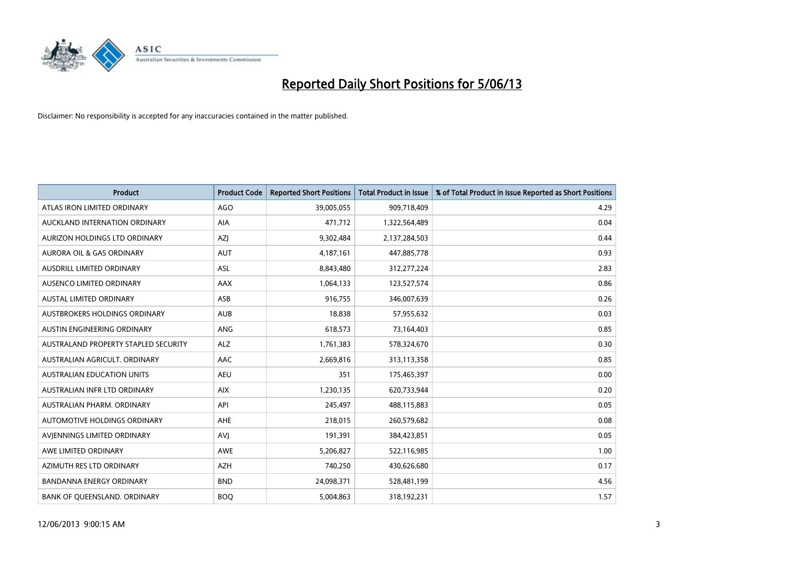

| <b>Product</b>                       | <b>Product Code</b> | <b>Reported Short Positions</b> | <b>Total Product in Issue</b> | % of Total Product in Issue Reported as Short Positions |
|--------------------------------------|---------------------|---------------------------------|-------------------------------|---------------------------------------------------------|
| ATLAS IRON LIMITED ORDINARY          | <b>AGO</b>          | 39,005,055                      | 909,718,409                   | 4.29                                                    |
| AUCKLAND INTERNATION ORDINARY        | AIA                 | 471,712                         | 1,322,564,489                 | 0.04                                                    |
| AURIZON HOLDINGS LTD ORDINARY        | AZJ                 | 9,302,484                       | 2,137,284,503                 | 0.44                                                    |
| AURORA OIL & GAS ORDINARY            | <b>AUT</b>          | 4,187,161                       | 447,885,778                   | 0.93                                                    |
| AUSDRILL LIMITED ORDINARY            | ASL                 | 8,843,480                       | 312,277,224                   | 2.83                                                    |
| AUSENCO LIMITED ORDINARY             | <b>AAX</b>          | 1,064,133                       | 123,527,574                   | 0.86                                                    |
| AUSTAL LIMITED ORDINARY              | ASB                 | 916,755                         | 346,007,639                   | 0.26                                                    |
| AUSTBROKERS HOLDINGS ORDINARY        | <b>AUB</b>          | 18,838                          | 57,955,632                    | 0.03                                                    |
| AUSTIN ENGINEERING ORDINARY          | <b>ANG</b>          | 618,573                         | 73,164,403                    | 0.85                                                    |
| AUSTRALAND PROPERTY STAPLED SECURITY | <b>ALZ</b>          | 1,761,383                       | 578,324,670                   | 0.30                                                    |
| AUSTRALIAN AGRICULT. ORDINARY        | AAC                 | 2,669,816                       | 313,113,358                   | 0.85                                                    |
| <b>AUSTRALIAN EDUCATION UNITS</b>    | <b>AEU</b>          | 351                             | 175,465,397                   | 0.00                                                    |
| AUSTRALIAN INFR LTD ORDINARY         | <b>AIX</b>          | 1,230,135                       | 620,733,944                   | 0.20                                                    |
| AUSTRALIAN PHARM, ORDINARY           | API                 | 245,497                         | 488,115,883                   | 0.05                                                    |
| <b>AUTOMOTIVE HOLDINGS ORDINARY</b>  | <b>AHE</b>          | 218,015                         | 260,579,682                   | 0.08                                                    |
| AVIENNINGS LIMITED ORDINARY          | <b>AVI</b>          | 191,391                         | 384,423,851                   | 0.05                                                    |
| AWE LIMITED ORDINARY                 | AWE                 | 5,206,827                       | 522,116,985                   | 1.00                                                    |
| AZIMUTH RES LTD ORDINARY             | <b>AZH</b>          | 740,250                         | 430,626,680                   | 0.17                                                    |
| <b>BANDANNA ENERGY ORDINARY</b>      | <b>BND</b>          | 24,098,371                      | 528,481,199                   | 4.56                                                    |
| BANK OF QUEENSLAND. ORDINARY         | <b>BOQ</b>          | 5,004,863                       | 318,192,231                   | 1.57                                                    |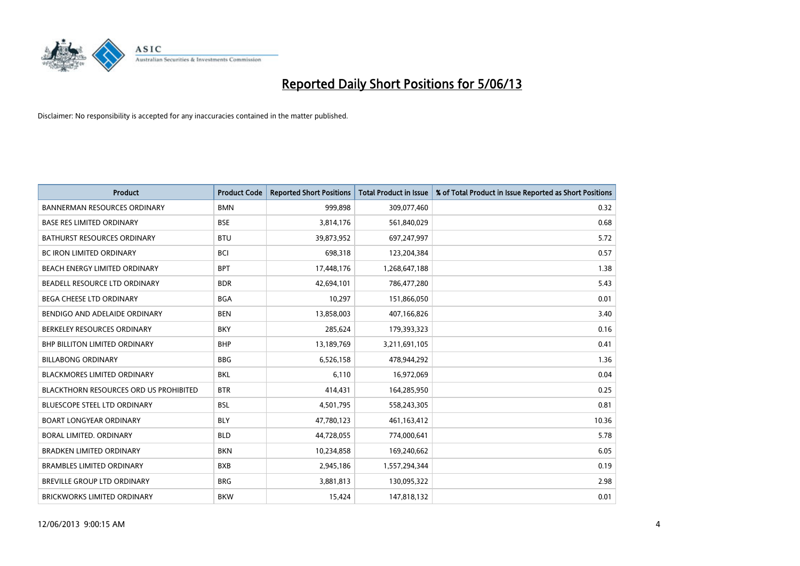

| <b>Product</b>                         | <b>Product Code</b> | <b>Reported Short Positions</b> | <b>Total Product in Issue</b> | % of Total Product in Issue Reported as Short Positions |
|----------------------------------------|---------------------|---------------------------------|-------------------------------|---------------------------------------------------------|
| <b>BANNERMAN RESOURCES ORDINARY</b>    | <b>BMN</b>          | 999,898                         | 309,077,460                   | 0.32                                                    |
| <b>BASE RES LIMITED ORDINARY</b>       | <b>BSE</b>          | 3,814,176                       | 561,840,029                   | 0.68                                                    |
| <b>BATHURST RESOURCES ORDINARY</b>     | <b>BTU</b>          | 39,873,952                      | 697,247,997                   | 5.72                                                    |
| <b>BC IRON LIMITED ORDINARY</b>        | BCI                 | 698,318                         | 123,204,384                   | 0.57                                                    |
| BEACH ENERGY LIMITED ORDINARY          | <b>BPT</b>          | 17,448,176                      | 1,268,647,188                 | 1.38                                                    |
| BEADELL RESOURCE LTD ORDINARY          | <b>BDR</b>          | 42,694,101                      | 786,477,280                   | 5.43                                                    |
| <b>BEGA CHEESE LTD ORDINARY</b>        | <b>BGA</b>          | 10,297                          | 151,866,050                   | 0.01                                                    |
| BENDIGO AND ADELAIDE ORDINARY          | <b>BEN</b>          | 13,858,003                      | 407,166,826                   | 3.40                                                    |
| BERKELEY RESOURCES ORDINARY            | <b>BKY</b>          | 285,624                         | 179,393,323                   | 0.16                                                    |
| <b>BHP BILLITON LIMITED ORDINARY</b>   | <b>BHP</b>          | 13,189,769                      | 3,211,691,105                 | 0.41                                                    |
| <b>BILLABONG ORDINARY</b>              | <b>BBG</b>          | 6,526,158                       | 478,944,292                   | 1.36                                                    |
| <b>BLACKMORES LIMITED ORDINARY</b>     | <b>BKL</b>          | 6,110                           | 16,972,069                    | 0.04                                                    |
| BLACKTHORN RESOURCES ORD US PROHIBITED | <b>BTR</b>          | 414,431                         | 164,285,950                   | 0.25                                                    |
| <b>BLUESCOPE STEEL LTD ORDINARY</b>    | <b>BSL</b>          | 4,501,795                       | 558,243,305                   | 0.81                                                    |
| <b>BOART LONGYEAR ORDINARY</b>         | <b>BLY</b>          | 47,780,123                      | 461,163,412                   | 10.36                                                   |
| BORAL LIMITED. ORDINARY                | <b>BLD</b>          | 44,728,055                      | 774,000,641                   | 5.78                                                    |
| <b>BRADKEN LIMITED ORDINARY</b>        | <b>BKN</b>          | 10,234,858                      | 169,240,662                   | 6.05                                                    |
| <b>BRAMBLES LIMITED ORDINARY</b>       | <b>BXB</b>          | 2,945,186                       | 1,557,294,344                 | 0.19                                                    |
| <b>BREVILLE GROUP LTD ORDINARY</b>     | <b>BRG</b>          | 3,881,813                       | 130,095,322                   | 2.98                                                    |
| BRICKWORKS LIMITED ORDINARY            | <b>BKW</b>          | 15,424                          | 147,818,132                   | 0.01                                                    |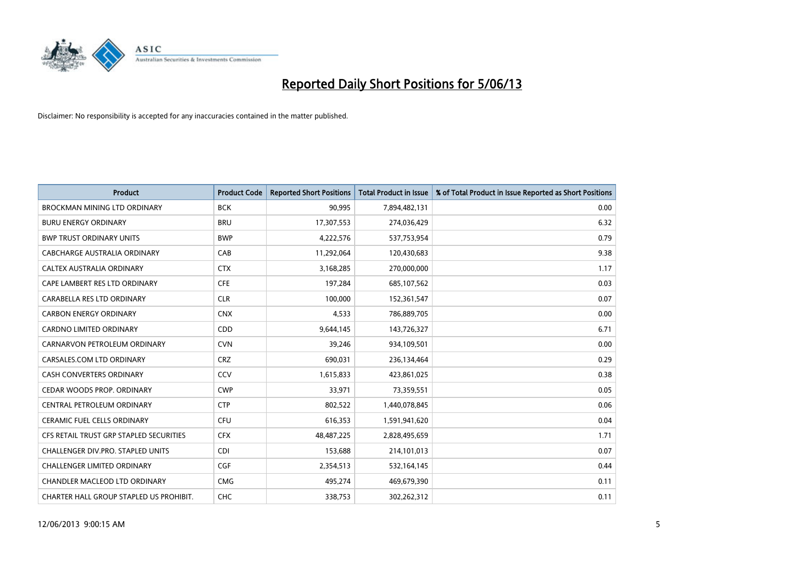

| <b>Product</b>                          | <b>Product Code</b> | <b>Reported Short Positions</b> | <b>Total Product in Issue</b> | % of Total Product in Issue Reported as Short Positions |
|-----------------------------------------|---------------------|---------------------------------|-------------------------------|---------------------------------------------------------|
| <b>BROCKMAN MINING LTD ORDINARY</b>     | <b>BCK</b>          | 90,995                          | 7,894,482,131                 | 0.00                                                    |
| <b>BURU ENERGY ORDINARY</b>             | <b>BRU</b>          | 17,307,553                      | 274,036,429                   | 6.32                                                    |
| <b>BWP TRUST ORDINARY UNITS</b>         | <b>BWP</b>          | 4,222,576                       | 537,753,954                   | 0.79                                                    |
| CABCHARGE AUSTRALIA ORDINARY            | CAB                 | 11,292,064                      | 120,430,683                   | 9.38                                                    |
| CALTEX AUSTRALIA ORDINARY               | <b>CTX</b>          | 3,168,285                       | 270,000,000                   | 1.17                                                    |
| CAPE LAMBERT RES LTD ORDINARY           | <b>CFE</b>          | 197,284                         | 685,107,562                   | 0.03                                                    |
| CARABELLA RES LTD ORDINARY              | <b>CLR</b>          | 100.000                         | 152,361,547                   | 0.07                                                    |
| <b>CARBON ENERGY ORDINARY</b>           | <b>CNX</b>          | 4,533                           | 786,889,705                   | 0.00                                                    |
| CARDNO LIMITED ORDINARY                 | CDD                 | 9,644,145                       | 143,726,327                   | 6.71                                                    |
| CARNARVON PETROLEUM ORDINARY            | <b>CVN</b>          | 39,246                          | 934,109,501                   | 0.00                                                    |
| CARSALES.COM LTD ORDINARY               | <b>CRZ</b>          | 690,031                         | 236,134,464                   | 0.29                                                    |
| <b>CASH CONVERTERS ORDINARY</b>         | CCV                 | 1,615,833                       | 423,861,025                   | 0.38                                                    |
| CEDAR WOODS PROP. ORDINARY              | <b>CWP</b>          | 33,971                          | 73,359,551                    | 0.05                                                    |
| CENTRAL PETROLEUM ORDINARY              | <b>CTP</b>          | 802,522                         | 1,440,078,845                 | 0.06                                                    |
| <b>CERAMIC FUEL CELLS ORDINARY</b>      | <b>CFU</b>          | 616,353                         | 1,591,941,620                 | 0.04                                                    |
| CFS RETAIL TRUST GRP STAPLED SECURITIES | <b>CFX</b>          | 48,487,225                      | 2,828,495,659                 | 1.71                                                    |
| CHALLENGER DIV.PRO. STAPLED UNITS       | <b>CDI</b>          | 153,688                         | 214,101,013                   | 0.07                                                    |
| <b>CHALLENGER LIMITED ORDINARY</b>      | <b>CGF</b>          | 2,354,513                       | 532,164,145                   | 0.44                                                    |
| CHANDLER MACLEOD LTD ORDINARY           | <b>CMG</b>          | 495,274                         | 469,679,390                   | 0.11                                                    |
| CHARTER HALL GROUP STAPLED US PROHIBIT. | CHC                 | 338,753                         | 302,262,312                   | 0.11                                                    |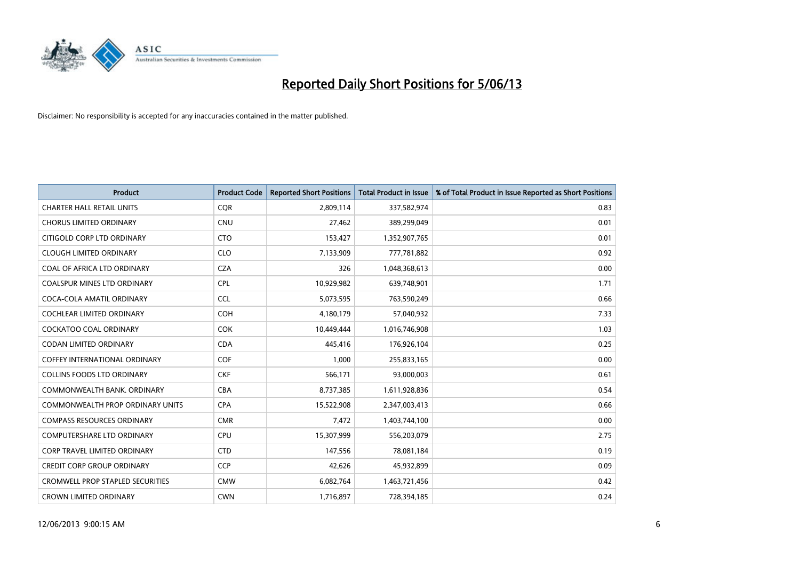

| <b>Product</b>                          | <b>Product Code</b> | <b>Reported Short Positions</b> | <b>Total Product in Issue</b> | % of Total Product in Issue Reported as Short Positions |
|-----------------------------------------|---------------------|---------------------------------|-------------------------------|---------------------------------------------------------|
| <b>CHARTER HALL RETAIL UNITS</b>        | <b>CQR</b>          | 2,809,114                       | 337,582,974                   | 0.83                                                    |
| <b>CHORUS LIMITED ORDINARY</b>          | <b>CNU</b>          | 27,462                          | 389,299,049                   | 0.01                                                    |
| CITIGOLD CORP LTD ORDINARY              | <b>CTO</b>          | 153,427                         | 1,352,907,765                 | 0.01                                                    |
| <b>CLOUGH LIMITED ORDINARY</b>          | <b>CLO</b>          | 7,133,909                       | 777,781,882                   | 0.92                                                    |
| COAL OF AFRICA LTD ORDINARY             | <b>CZA</b>          | 326                             | 1,048,368,613                 | 0.00                                                    |
| <b>COALSPUR MINES LTD ORDINARY</b>      | <b>CPL</b>          | 10,929,982                      | 639,748,901                   | 1.71                                                    |
| COCA-COLA AMATIL ORDINARY               | <b>CCL</b>          | 5,073,595                       | 763,590,249                   | 0.66                                                    |
| <b>COCHLEAR LIMITED ORDINARY</b>        | <b>COH</b>          | 4,180,179                       | 57,040,932                    | 7.33                                                    |
| <b>COCKATOO COAL ORDINARY</b>           | <b>COK</b>          | 10,449,444                      | 1,016,746,908                 | 1.03                                                    |
| <b>CODAN LIMITED ORDINARY</b>           | <b>CDA</b>          | 445,416                         | 176,926,104                   | 0.25                                                    |
| COFFEY INTERNATIONAL ORDINARY           | <b>COF</b>          | 1,000                           | 255,833,165                   | 0.00                                                    |
| <b>COLLINS FOODS LTD ORDINARY</b>       | <b>CKF</b>          | 566,171                         | 93,000,003                    | 0.61                                                    |
| COMMONWEALTH BANK, ORDINARY             | <b>CBA</b>          | 8,737,385                       | 1,611,928,836                 | 0.54                                                    |
| <b>COMMONWEALTH PROP ORDINARY UNITS</b> | <b>CPA</b>          | 15,522,908                      | 2,347,003,413                 | 0.66                                                    |
| <b>COMPASS RESOURCES ORDINARY</b>       | <b>CMR</b>          | 7,472                           | 1,403,744,100                 | 0.00                                                    |
| <b>COMPUTERSHARE LTD ORDINARY</b>       | <b>CPU</b>          | 15,307,999                      | 556,203,079                   | 2.75                                                    |
| CORP TRAVEL LIMITED ORDINARY            | <b>CTD</b>          | 147,556                         | 78,081,184                    | 0.19                                                    |
| <b>CREDIT CORP GROUP ORDINARY</b>       | <b>CCP</b>          | 42,626                          | 45,932,899                    | 0.09                                                    |
| <b>CROMWELL PROP STAPLED SECURITIES</b> | <b>CMW</b>          | 6,082,764                       | 1,463,721,456                 | 0.42                                                    |
| <b>CROWN LIMITED ORDINARY</b>           | <b>CWN</b>          | 1,716,897                       | 728,394,185                   | 0.24                                                    |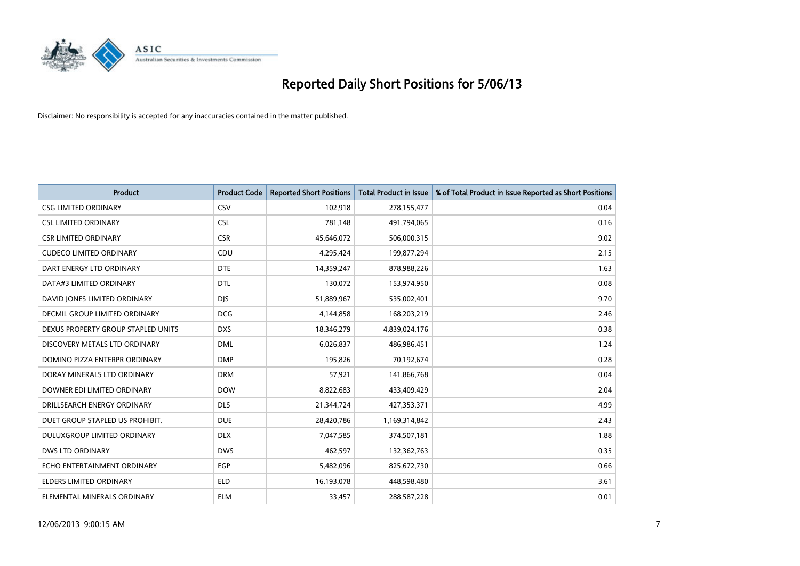

| <b>Product</b>                       | <b>Product Code</b> | <b>Reported Short Positions</b> | <b>Total Product in Issue</b> | % of Total Product in Issue Reported as Short Positions |
|--------------------------------------|---------------------|---------------------------------|-------------------------------|---------------------------------------------------------|
| <b>CSG LIMITED ORDINARY</b>          | CSV                 | 102,918                         | 278,155,477                   | 0.04                                                    |
| <b>CSL LIMITED ORDINARY</b>          | <b>CSL</b>          | 781,148                         | 491,794,065                   | 0.16                                                    |
| <b>CSR LIMITED ORDINARY</b>          | <b>CSR</b>          | 45,646,072                      | 506,000,315                   | 9.02                                                    |
| <b>CUDECO LIMITED ORDINARY</b>       | CDU                 | 4,295,424                       | 199,877,294                   | 2.15                                                    |
| DART ENERGY LTD ORDINARY             | <b>DTE</b>          | 14,359,247                      | 878,988,226                   | 1.63                                                    |
| DATA#3 LIMITED ORDINARY              | <b>DTL</b>          | 130,072                         | 153,974,950                   | 0.08                                                    |
| DAVID JONES LIMITED ORDINARY         | <b>DJS</b>          | 51,889,967                      | 535,002,401                   | 9.70                                                    |
| <b>DECMIL GROUP LIMITED ORDINARY</b> | <b>DCG</b>          | 4,144,858                       | 168,203,219                   | 2.46                                                    |
| DEXUS PROPERTY GROUP STAPLED UNITS   | <b>DXS</b>          | 18,346,279                      | 4,839,024,176                 | 0.38                                                    |
| DISCOVERY METALS LTD ORDINARY        | <b>DML</b>          | 6,026,837                       | 486,986,451                   | 1.24                                                    |
| DOMINO PIZZA ENTERPR ORDINARY        | <b>DMP</b>          | 195,826                         | 70,192,674                    | 0.28                                                    |
| DORAY MINERALS LTD ORDINARY          | <b>DRM</b>          | 57,921                          | 141,866,768                   | 0.04                                                    |
| DOWNER EDI LIMITED ORDINARY          | <b>DOW</b>          | 8,822,683                       | 433,409,429                   | 2.04                                                    |
| DRILLSEARCH ENERGY ORDINARY          | <b>DLS</b>          | 21,344,724                      | 427,353,371                   | 4.99                                                    |
| DUET GROUP STAPLED US PROHIBIT.      | <b>DUE</b>          | 28,420,786                      | 1,169,314,842                 | 2.43                                                    |
| DULUXGROUP LIMITED ORDINARY          | <b>DLX</b>          | 7,047,585                       | 374,507,181                   | 1.88                                                    |
| <b>DWS LTD ORDINARY</b>              | <b>DWS</b>          | 462,597                         | 132,362,763                   | 0.35                                                    |
| ECHO ENTERTAINMENT ORDINARY          | <b>EGP</b>          | 5,482,096                       | 825,672,730                   | 0.66                                                    |
| <b>ELDERS LIMITED ORDINARY</b>       | <b>ELD</b>          | 16,193,078                      | 448,598,480                   | 3.61                                                    |
| ELEMENTAL MINERALS ORDINARY          | <b>ELM</b>          | 33,457                          | 288,587,228                   | 0.01                                                    |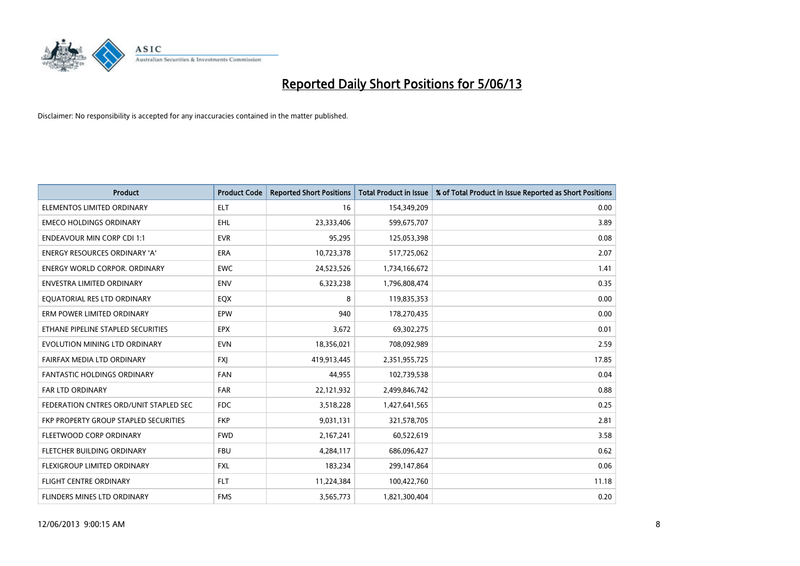

| <b>Product</b>                         | <b>Product Code</b> | <b>Reported Short Positions</b> | <b>Total Product in Issue</b> | % of Total Product in Issue Reported as Short Positions |
|----------------------------------------|---------------------|---------------------------------|-------------------------------|---------------------------------------------------------|
| ELEMENTOS LIMITED ORDINARY             | <b>ELT</b>          | 16                              | 154,349,209                   | 0.00                                                    |
| <b>EMECO HOLDINGS ORDINARY</b>         | <b>EHL</b>          | 23,333,406                      | 599,675,707                   | 3.89                                                    |
| <b>ENDEAVOUR MIN CORP CDI 1:1</b>      | <b>EVR</b>          | 95,295                          | 125,053,398                   | 0.08                                                    |
| ENERGY RESOURCES ORDINARY 'A'          | <b>ERA</b>          | 10,723,378                      | 517,725,062                   | 2.07                                                    |
| <b>ENERGY WORLD CORPOR, ORDINARY</b>   | <b>EWC</b>          | 24,523,526                      | 1,734,166,672                 | 1.41                                                    |
| <b>ENVESTRA LIMITED ORDINARY</b>       | <b>ENV</b>          | 6,323,238                       | 1,796,808,474                 | 0.35                                                    |
| EQUATORIAL RES LTD ORDINARY            | EQX                 | 8                               | 119,835,353                   | 0.00                                                    |
| ERM POWER LIMITED ORDINARY             | EPW                 | 940                             | 178,270,435                   | 0.00                                                    |
| ETHANE PIPELINE STAPLED SECURITIES     | <b>EPX</b>          | 3,672                           | 69,302,275                    | 0.01                                                    |
| EVOLUTION MINING LTD ORDINARY          | <b>EVN</b>          | 18,356,021                      | 708,092,989                   | 2.59                                                    |
| FAIRFAX MEDIA LTD ORDINARY             | <b>FXI</b>          | 419,913,445                     | 2,351,955,725                 | 17.85                                                   |
| <b>FANTASTIC HOLDINGS ORDINARY</b>     | <b>FAN</b>          | 44,955                          | 102,739,538                   | 0.04                                                    |
| FAR LTD ORDINARY                       | FAR                 | 22,121,932                      | 2,499,846,742                 | 0.88                                                    |
| FEDERATION CNTRES ORD/UNIT STAPLED SEC | <b>FDC</b>          | 3,518,228                       | 1,427,641,565                 | 0.25                                                    |
| FKP PROPERTY GROUP STAPLED SECURITIES  | <b>FKP</b>          | 9,031,131                       | 321,578,705                   | 2.81                                                    |
| FLEETWOOD CORP ORDINARY                | <b>FWD</b>          | 2,167,241                       | 60,522,619                    | 3.58                                                    |
| FLETCHER BUILDING ORDINARY             | <b>FBU</b>          | 4,284,117                       | 686,096,427                   | 0.62                                                    |
| FLEXIGROUP LIMITED ORDINARY            | <b>FXL</b>          | 183,234                         | 299,147,864                   | 0.06                                                    |
| FLIGHT CENTRE ORDINARY                 | <b>FLT</b>          | 11,224,384                      | 100,422,760                   | 11.18                                                   |
| FLINDERS MINES LTD ORDINARY            | <b>FMS</b>          | 3,565,773                       | 1,821,300,404                 | 0.20                                                    |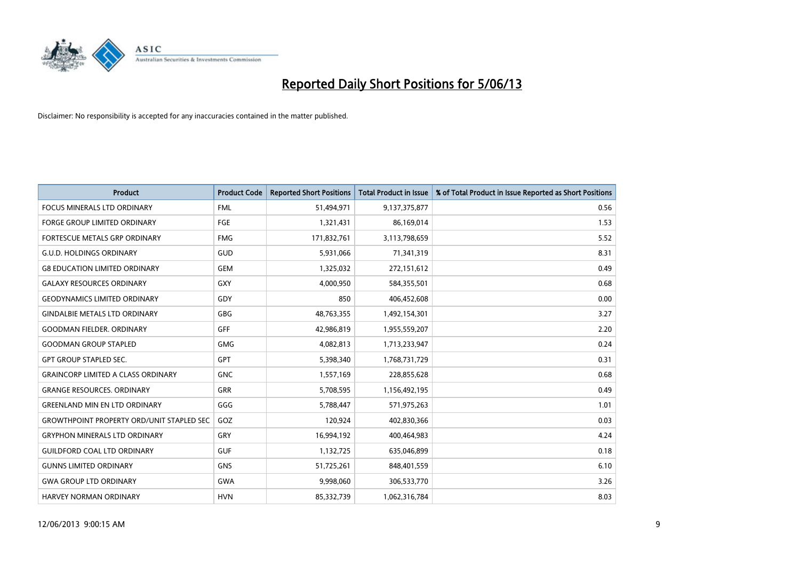

| <b>Product</b>                                   | <b>Product Code</b> | <b>Reported Short Positions</b> | <b>Total Product in Issue</b> | % of Total Product in Issue Reported as Short Positions |
|--------------------------------------------------|---------------------|---------------------------------|-------------------------------|---------------------------------------------------------|
| <b>FOCUS MINERALS LTD ORDINARY</b>               | <b>FML</b>          | 51,494,971                      | 9,137,375,877                 | 0.56                                                    |
| FORGE GROUP LIMITED ORDINARY                     | FGE                 | 1,321,431                       | 86,169,014                    | 1.53                                                    |
| <b>FORTESCUE METALS GRP ORDINARY</b>             | <b>FMG</b>          | 171,832,761                     | 3,113,798,659                 | 5.52                                                    |
| <b>G.U.D. HOLDINGS ORDINARY</b>                  | GUD                 | 5,931,066                       | 71,341,319                    | 8.31                                                    |
| <b>G8 EDUCATION LIMITED ORDINARY</b>             | <b>GEM</b>          | 1,325,032                       | 272,151,612                   | 0.49                                                    |
| <b>GALAXY RESOURCES ORDINARY</b>                 | <b>GXY</b>          | 4,000,950                       | 584,355,501                   | 0.68                                                    |
| <b>GEODYNAMICS LIMITED ORDINARY</b>              | GDY                 | 850                             | 406,452,608                   | 0.00                                                    |
| <b>GINDALBIE METALS LTD ORDINARY</b>             | GBG                 | 48,763,355                      | 1,492,154,301                 | 3.27                                                    |
| <b>GOODMAN FIELDER. ORDINARY</b>                 | GFF                 | 42,986,819                      | 1,955,559,207                 | 2.20                                                    |
| <b>GOODMAN GROUP STAPLED</b>                     | <b>GMG</b>          | 4,082,813                       | 1,713,233,947                 | 0.24                                                    |
| <b>GPT GROUP STAPLED SEC.</b>                    | GPT                 | 5,398,340                       | 1,768,731,729                 | 0.31                                                    |
| <b>GRAINCORP LIMITED A CLASS ORDINARY</b>        | <b>GNC</b>          | 1,557,169                       | 228,855,628                   | 0.68                                                    |
| <b>GRANGE RESOURCES, ORDINARY</b>                | <b>GRR</b>          | 5,708,595                       | 1,156,492,195                 | 0.49                                                    |
| <b>GREENLAND MIN EN LTD ORDINARY</b>             | GGG                 | 5,788,447                       | 571,975,263                   | 1.01                                                    |
| <b>GROWTHPOINT PROPERTY ORD/UNIT STAPLED SEC</b> | GOZ                 | 120,924                         | 402,830,366                   | 0.03                                                    |
| <b>GRYPHON MINERALS LTD ORDINARY</b>             | GRY                 | 16,994,192                      | 400,464,983                   | 4.24                                                    |
| <b>GUILDFORD COAL LTD ORDINARY</b>               | <b>GUF</b>          | 1,132,725                       | 635,046,899                   | 0.18                                                    |
| <b>GUNNS LIMITED ORDINARY</b>                    | <b>GNS</b>          | 51,725,261                      | 848,401,559                   | 6.10                                                    |
| <b>GWA GROUP LTD ORDINARY</b>                    | <b>GWA</b>          | 9,998,060                       | 306,533,770                   | 3.26                                                    |
| <b>HARVEY NORMAN ORDINARY</b>                    | <b>HVN</b>          | 85,332,739                      | 1,062,316,784                 | 8.03                                                    |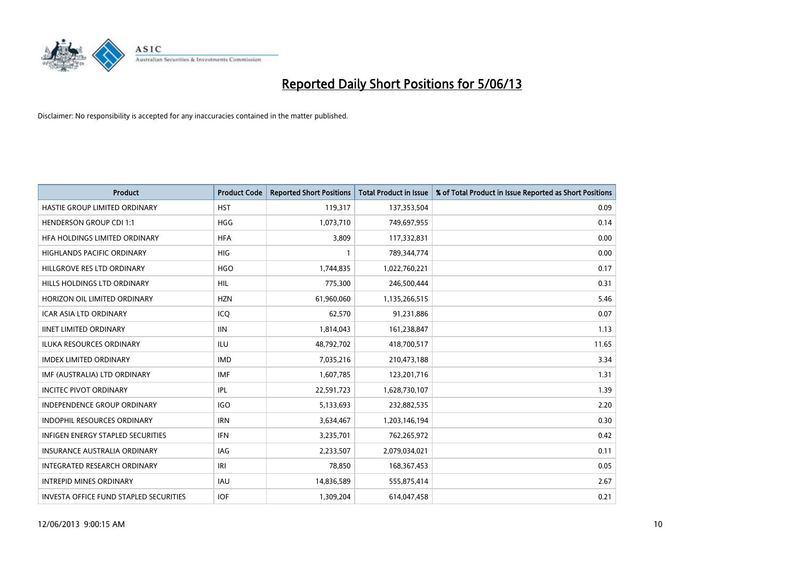

| <b>Product</b>                                | <b>Product Code</b> | <b>Reported Short Positions</b> | <b>Total Product in Issue</b> | % of Total Product in Issue Reported as Short Positions |
|-----------------------------------------------|---------------------|---------------------------------|-------------------------------|---------------------------------------------------------|
| HASTIE GROUP LIMITED ORDINARY                 | <b>HST</b>          | 119,317                         | 137,353,504                   | 0.09                                                    |
| <b>HENDERSON GROUP CDI 1:1</b>                | <b>HGG</b>          | 1,073,710                       | 749,697,955                   | 0.14                                                    |
| HFA HOLDINGS LIMITED ORDINARY                 | <b>HFA</b>          | 3,809                           | 117,332,831                   | 0.00                                                    |
| HIGHLANDS PACIFIC ORDINARY                    | <b>HIG</b>          | $\mathbf{1}$                    | 789,344,774                   | 0.00                                                    |
| HILLGROVE RES LTD ORDINARY                    | <b>HGO</b>          | 1,744,835                       | 1,022,760,221                 | 0.17                                                    |
| HILLS HOLDINGS LTD ORDINARY                   | <b>HIL</b>          | 775,300                         | 246,500,444                   | 0.31                                                    |
| HORIZON OIL LIMITED ORDINARY                  | <b>HZN</b>          | 61,960,060                      | 1,135,266,515                 | 5.46                                                    |
| <b>ICAR ASIA LTD ORDINARY</b>                 | ICQ                 | 62,570                          | 91,231,886                    | 0.07                                                    |
| <b>IINET LIMITED ORDINARY</b>                 | <b>IIN</b>          | 1,814,043                       | 161,238,847                   | 1.13                                                    |
| <b>ILUKA RESOURCES ORDINARY</b>               | ILU                 | 48,792,702                      | 418,700,517                   | 11.65                                                   |
| <b>IMDEX LIMITED ORDINARY</b>                 | <b>IMD</b>          | 7,035,216                       | 210,473,188                   | 3.34                                                    |
| IMF (AUSTRALIA) LTD ORDINARY                  | IMF                 | 1,607,785                       | 123,201,716                   | 1.31                                                    |
| <b>INCITEC PIVOT ORDINARY</b>                 | <b>IPL</b>          | 22,591,723                      | 1,628,730,107                 | 1.39                                                    |
| <b>INDEPENDENCE GROUP ORDINARY</b>            | <b>IGO</b>          | 5,133,693                       | 232,882,535                   | 2.20                                                    |
| INDOPHIL RESOURCES ORDINARY                   | <b>IRN</b>          | 3,634,467                       | 1,203,146,194                 | 0.30                                                    |
| <b>INFIGEN ENERGY STAPLED SECURITIES</b>      | <b>IFN</b>          | 3,235,701                       | 762,265,972                   | 0.42                                                    |
| <b>INSURANCE AUSTRALIA ORDINARY</b>           | <b>IAG</b>          | 2,233,507                       | 2,079,034,021                 | 0.11                                                    |
| INTEGRATED RESEARCH ORDINARY                  | IRI                 | 78,850                          | 168, 367, 453                 | 0.05                                                    |
| <b>INTREPID MINES ORDINARY</b>                | <b>IAU</b>          | 14,836,589                      | 555,875,414                   | 2.67                                                    |
| <b>INVESTA OFFICE FUND STAPLED SECURITIES</b> | <b>IOF</b>          | 1,309,204                       | 614,047,458                   | 0.21                                                    |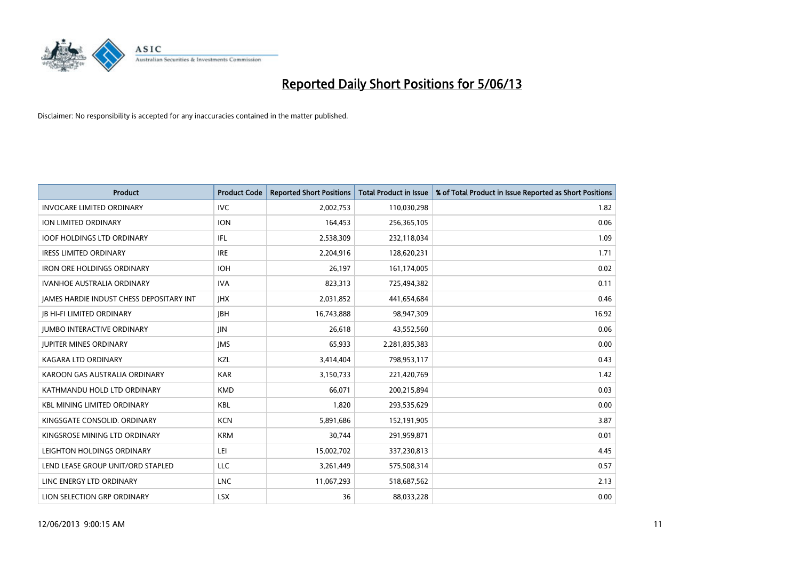

| <b>Product</b>                                  | <b>Product Code</b> | <b>Reported Short Positions</b> | <b>Total Product in Issue</b> | % of Total Product in Issue Reported as Short Positions |
|-------------------------------------------------|---------------------|---------------------------------|-------------------------------|---------------------------------------------------------|
| <b>INVOCARE LIMITED ORDINARY</b>                | <b>IVC</b>          | 2,002,753                       | 110,030,298                   | 1.82                                                    |
| ION LIMITED ORDINARY                            | <b>ION</b>          | 164,453                         | 256,365,105                   | 0.06                                                    |
| <b>IOOF HOLDINGS LTD ORDINARY</b>               | IFL                 | 2,538,309                       | 232,118,034                   | 1.09                                                    |
| <b>IRESS LIMITED ORDINARY</b>                   | <b>IRE</b>          | 2,204,916                       | 128,620,231                   | 1.71                                                    |
| <b>IRON ORE HOLDINGS ORDINARY</b>               | <b>IOH</b>          | 26,197                          | 161,174,005                   | 0.02                                                    |
| <b>IVANHOE AUSTRALIA ORDINARY</b>               | <b>IVA</b>          | 823,313                         | 725,494,382                   | 0.11                                                    |
| <b>JAMES HARDIE INDUST CHESS DEPOSITARY INT</b> | <b>IHX</b>          | 2,031,852                       | 441,654,684                   | 0.46                                                    |
| <b>JB HI-FI LIMITED ORDINARY</b>                | <b>JBH</b>          | 16,743,888                      | 98,947,309                    | 16.92                                                   |
| <b>JUMBO INTERACTIVE ORDINARY</b>               | JIN.                | 26,618                          | 43,552,560                    | 0.06                                                    |
| <b>JUPITER MINES ORDINARY</b>                   | <b>IMS</b>          | 65,933                          | 2,281,835,383                 | 0.00                                                    |
| KAGARA LTD ORDINARY                             | KZL                 | 3,414,404                       | 798,953,117                   | 0.43                                                    |
| KAROON GAS AUSTRALIA ORDINARY                   | <b>KAR</b>          | 3,150,733                       | 221,420,769                   | 1.42                                                    |
| KATHMANDU HOLD LTD ORDINARY                     | <b>KMD</b>          | 66,071                          | 200,215,894                   | 0.03                                                    |
| <b>KBL MINING LIMITED ORDINARY</b>              | <b>KBL</b>          | 1,820                           | 293,535,629                   | 0.00                                                    |
| KINGSGATE CONSOLID. ORDINARY                    | <b>KCN</b>          | 5,891,686                       | 152,191,905                   | 3.87                                                    |
| KINGSROSE MINING LTD ORDINARY                   | <b>KRM</b>          | 30,744                          | 291,959,871                   | 0.01                                                    |
| LEIGHTON HOLDINGS ORDINARY                      | LEI                 | 15,002,702                      | 337,230,813                   | 4.45                                                    |
| LEND LEASE GROUP UNIT/ORD STAPLED               | <b>LLC</b>          | 3,261,449                       | 575,508,314                   | 0.57                                                    |
| LINC ENERGY LTD ORDINARY                        | <b>LNC</b>          | 11,067,293                      | 518,687,562                   | 2.13                                                    |
| LION SELECTION GRP ORDINARY                     | <b>LSX</b>          | 36                              | 88,033,228                    | 0.00                                                    |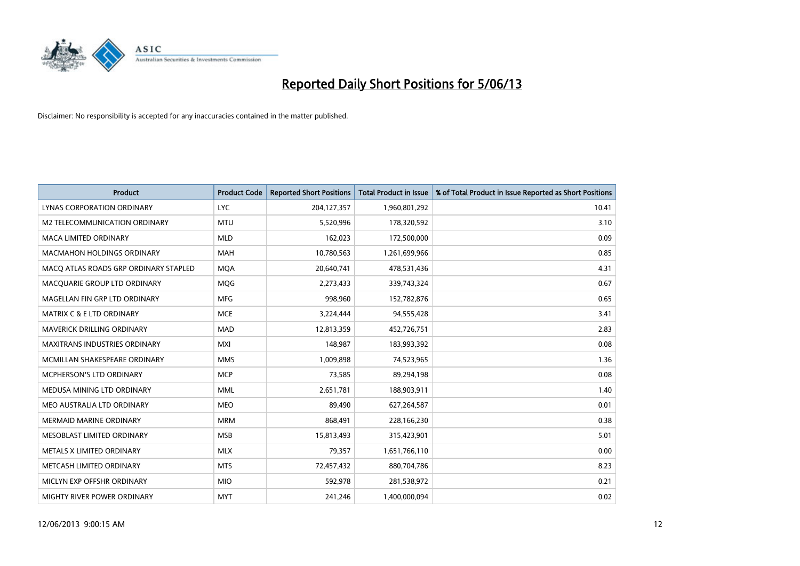

| <b>Product</b>                        | <b>Product Code</b> | <b>Reported Short Positions</b> | <b>Total Product in Issue</b> | % of Total Product in Issue Reported as Short Positions |
|---------------------------------------|---------------------|---------------------------------|-------------------------------|---------------------------------------------------------|
| LYNAS CORPORATION ORDINARY            | <b>LYC</b>          | 204, 127, 357                   | 1,960,801,292                 | 10.41                                                   |
| M2 TELECOMMUNICATION ORDINARY         | <b>MTU</b>          | 5,520,996                       | 178,320,592                   | 3.10                                                    |
| <b>MACA LIMITED ORDINARY</b>          | <b>MLD</b>          | 162,023                         | 172,500,000                   | 0.09                                                    |
| <b>MACMAHON HOLDINGS ORDINARY</b>     | <b>MAH</b>          | 10,780,563                      | 1,261,699,966                 | 0.85                                                    |
| MACO ATLAS ROADS GRP ORDINARY STAPLED | <b>MOA</b>          | 20,640,741                      | 478,531,436                   | 4.31                                                    |
| MACQUARIE GROUP LTD ORDINARY          | <b>MQG</b>          | 2,273,433                       | 339,743,324                   | 0.67                                                    |
| MAGELLAN FIN GRP LTD ORDINARY         | <b>MFG</b>          | 998,960                         | 152,782,876                   | 0.65                                                    |
| <b>MATRIX C &amp; E LTD ORDINARY</b>  | <b>MCE</b>          | 3,224,444                       | 94,555,428                    | 3.41                                                    |
| MAVERICK DRILLING ORDINARY            | <b>MAD</b>          | 12,813,359                      | 452,726,751                   | 2.83                                                    |
| <b>MAXITRANS INDUSTRIES ORDINARY</b>  | <b>MXI</b>          | 148,987                         | 183,993,392                   | 0.08                                                    |
| MCMILLAN SHAKESPEARE ORDINARY         | <b>MMS</b>          | 1,009,898                       | 74,523,965                    | 1.36                                                    |
| <b>MCPHERSON'S LTD ORDINARY</b>       | <b>MCP</b>          | 73,585                          | 89,294,198                    | 0.08                                                    |
| MEDUSA MINING LTD ORDINARY            | <b>MML</b>          | 2,651,781                       | 188,903,911                   | 1.40                                                    |
| MEO AUSTRALIA LTD ORDINARY            | <b>MEO</b>          | 89,490                          | 627,264,587                   | 0.01                                                    |
| <b>MERMAID MARINE ORDINARY</b>        | <b>MRM</b>          | 868,491                         | 228,166,230                   | 0.38                                                    |
| MESOBLAST LIMITED ORDINARY            | <b>MSB</b>          | 15,813,493                      | 315,423,901                   | 5.01                                                    |
| METALS X LIMITED ORDINARY             | <b>MLX</b>          | 79,357                          | 1,651,766,110                 | 0.00                                                    |
| METCASH LIMITED ORDINARY              | <b>MTS</b>          | 72,457,432                      | 880,704,786                   | 8.23                                                    |
| MICLYN EXP OFFSHR ORDINARY            | <b>MIO</b>          | 592,978                         | 281,538,972                   | 0.21                                                    |
| MIGHTY RIVER POWER ORDINARY           | <b>MYT</b>          | 241,246                         | 1,400,000,094                 | 0.02                                                    |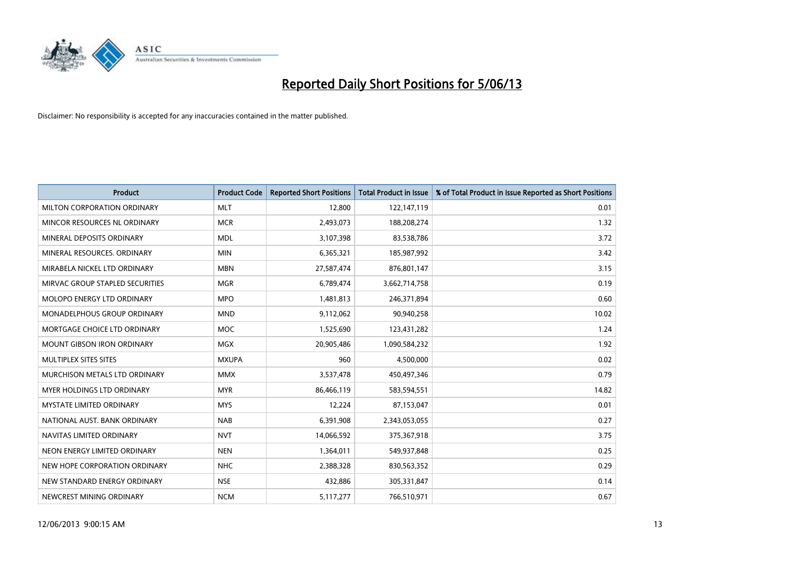

| <b>Product</b>                     | <b>Product Code</b> | <b>Reported Short Positions</b> | <b>Total Product in Issue</b> | % of Total Product in Issue Reported as Short Positions |
|------------------------------------|---------------------|---------------------------------|-------------------------------|---------------------------------------------------------|
| MILTON CORPORATION ORDINARY        | <b>MLT</b>          | 12,800                          | 122,147,119                   | 0.01                                                    |
| MINCOR RESOURCES NL ORDINARY       | <b>MCR</b>          | 2,493,073                       | 188,208,274                   | 1.32                                                    |
| MINERAL DEPOSITS ORDINARY          | <b>MDL</b>          | 3,107,398                       | 83,538,786                    | 3.72                                                    |
| MINERAL RESOURCES. ORDINARY        | <b>MIN</b>          | 6,365,321                       | 185,987,992                   | 3.42                                                    |
| MIRABELA NICKEL LTD ORDINARY       | <b>MBN</b>          | 27,587,474                      | 876,801,147                   | 3.15                                                    |
| MIRVAC GROUP STAPLED SECURITIES    | <b>MGR</b>          | 6,789,474                       | 3,662,714,758                 | 0.19                                                    |
| MOLOPO ENERGY LTD ORDINARY         | <b>MPO</b>          | 1,481,813                       | 246,371,894                   | 0.60                                                    |
| <b>MONADELPHOUS GROUP ORDINARY</b> | <b>MND</b>          | 9,112,062                       | 90,940,258                    | 10.02                                                   |
| MORTGAGE CHOICE LTD ORDINARY       | <b>MOC</b>          | 1,525,690                       | 123,431,282                   | 1.24                                                    |
| <b>MOUNT GIBSON IRON ORDINARY</b>  | <b>MGX</b>          | 20,905,486                      | 1,090,584,232                 | 1.92                                                    |
| MULTIPLEX SITES SITES              | <b>MXUPA</b>        | 960                             | 4,500,000                     | 0.02                                                    |
| MURCHISON METALS LTD ORDINARY      | <b>MMX</b>          | 3,537,478                       | 450,497,346                   | 0.79                                                    |
| MYER HOLDINGS LTD ORDINARY         | <b>MYR</b>          | 86,466,119                      | 583,594,551                   | 14.82                                                   |
| <b>MYSTATE LIMITED ORDINARY</b>    | <b>MYS</b>          | 12,224                          | 87,153,047                    | 0.01                                                    |
| NATIONAL AUST, BANK ORDINARY       | <b>NAB</b>          | 6,391,908                       | 2,343,053,055                 | 0.27                                                    |
| NAVITAS LIMITED ORDINARY           | <b>NVT</b>          | 14,066,592                      | 375,367,918                   | 3.75                                                    |
| NEON ENERGY LIMITED ORDINARY       | <b>NEN</b>          | 1,364,011                       | 549,937,848                   | 0.25                                                    |
| NEW HOPE CORPORATION ORDINARY      | <b>NHC</b>          | 2,388,328                       | 830,563,352                   | 0.29                                                    |
| NEW STANDARD ENERGY ORDINARY       | <b>NSE</b>          | 432,886                         | 305,331,847                   | 0.14                                                    |
| NEWCREST MINING ORDINARY           | <b>NCM</b>          | 5,117,277                       | 766,510,971                   | 0.67                                                    |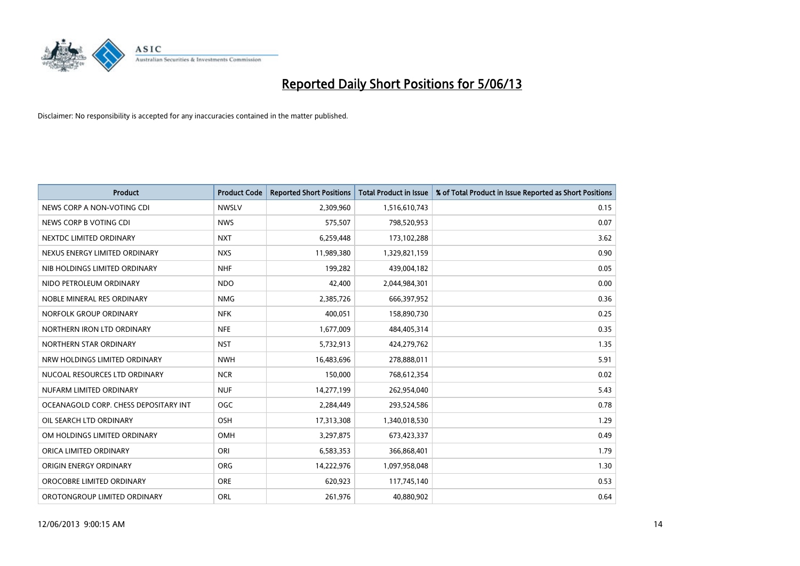

| <b>Product</b>                        | <b>Product Code</b> | <b>Reported Short Positions</b> | <b>Total Product in Issue</b> | % of Total Product in Issue Reported as Short Positions |
|---------------------------------------|---------------------|---------------------------------|-------------------------------|---------------------------------------------------------|
| NEWS CORP A NON-VOTING CDI            | <b>NWSLV</b>        | 2,309,960                       | 1,516,610,743                 | 0.15                                                    |
| NEWS CORP B VOTING CDI                | <b>NWS</b>          | 575,507                         | 798,520,953                   | 0.07                                                    |
| NEXTDC LIMITED ORDINARY               | <b>NXT</b>          | 6,259,448                       | 173,102,288                   | 3.62                                                    |
| NEXUS ENERGY LIMITED ORDINARY         | <b>NXS</b>          | 11,989,380                      | 1,329,821,159                 | 0.90                                                    |
| NIB HOLDINGS LIMITED ORDINARY         | <b>NHF</b>          | 199,282                         | 439,004,182                   | 0.05                                                    |
| NIDO PETROLEUM ORDINARY               | <b>NDO</b>          | 42,400                          | 2,044,984,301                 | 0.00                                                    |
| NOBLE MINERAL RES ORDINARY            | <b>NMG</b>          | 2,385,726                       | 666,397,952                   | 0.36                                                    |
| NORFOLK GROUP ORDINARY                | <b>NFK</b>          | 400,051                         | 158,890,730                   | 0.25                                                    |
| NORTHERN IRON LTD ORDINARY            | <b>NFE</b>          | 1,677,009                       | 484,405,314                   | 0.35                                                    |
| NORTHERN STAR ORDINARY                | <b>NST</b>          | 5,732,913                       | 424,279,762                   | 1.35                                                    |
| NRW HOLDINGS LIMITED ORDINARY         | <b>NWH</b>          | 16,483,696                      | 278,888,011                   | 5.91                                                    |
| NUCOAL RESOURCES LTD ORDINARY         | <b>NCR</b>          | 150,000                         | 768,612,354                   | 0.02                                                    |
| NUFARM LIMITED ORDINARY               | <b>NUF</b>          | 14,277,199                      | 262,954,040                   | 5.43                                                    |
| OCEANAGOLD CORP. CHESS DEPOSITARY INT | <b>OGC</b>          | 2,284,449                       | 293,524,586                   | 0.78                                                    |
| OIL SEARCH LTD ORDINARY               | OSH                 | 17,313,308                      | 1,340,018,530                 | 1.29                                                    |
| OM HOLDINGS LIMITED ORDINARY          | OMH                 | 3,297,875                       | 673,423,337                   | 0.49                                                    |
| ORICA LIMITED ORDINARY                | ORI                 | 6,583,353                       | 366,868,401                   | 1.79                                                    |
| ORIGIN ENERGY ORDINARY                | <b>ORG</b>          | 14,222,976                      | 1,097,958,048                 | 1.30                                                    |
| OROCOBRE LIMITED ORDINARY             | <b>ORE</b>          | 620,923                         | 117,745,140                   | 0.53                                                    |
| OROTONGROUP LIMITED ORDINARY          | <b>ORL</b>          | 261,976                         | 40,880,902                    | 0.64                                                    |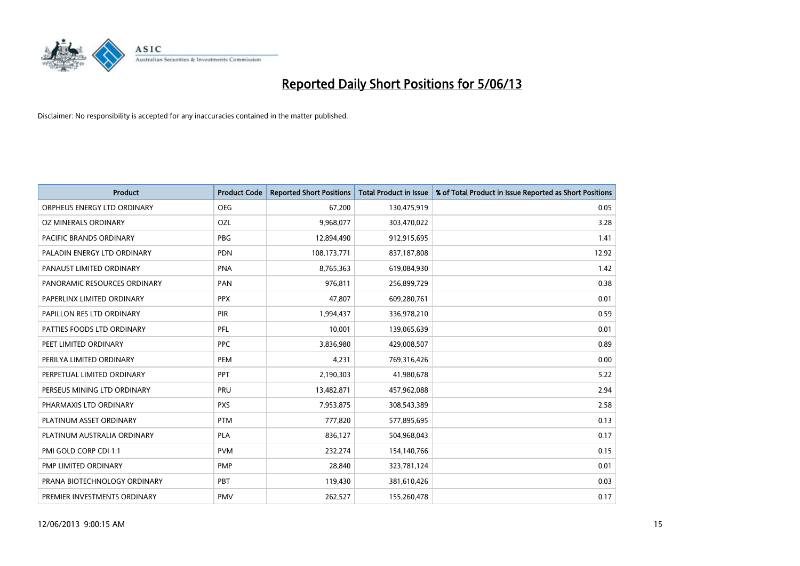

| <b>Product</b>               | <b>Product Code</b> | <b>Reported Short Positions</b> | <b>Total Product in Issue</b> | % of Total Product in Issue Reported as Short Positions |
|------------------------------|---------------------|---------------------------------|-------------------------------|---------------------------------------------------------|
| ORPHEUS ENERGY LTD ORDINARY  | <b>OEG</b>          | 67,200                          | 130,475,919                   | 0.05                                                    |
| OZ MINERALS ORDINARY         | OZL                 | 9,968,077                       | 303,470,022                   | 3.28                                                    |
| PACIFIC BRANDS ORDINARY      | <b>PBG</b>          | 12,894,490                      | 912,915,695                   | 1.41                                                    |
| PALADIN ENERGY LTD ORDINARY  | <b>PDN</b>          | 108,173,771                     | 837,187,808                   | 12.92                                                   |
| PANAUST LIMITED ORDINARY     | <b>PNA</b>          | 8,765,363                       | 619,084,930                   | 1.42                                                    |
| PANORAMIC RESOURCES ORDINARY | PAN                 | 976,811                         | 256,899,729                   | 0.38                                                    |
| PAPERLINX LIMITED ORDINARY   | <b>PPX</b>          | 47,807                          | 609,280,761                   | 0.01                                                    |
| PAPILLON RES LTD ORDINARY    | PIR                 | 1,994,437                       | 336,978,210                   | 0.59                                                    |
| PATTIES FOODS LTD ORDINARY   | PFL                 | 10,001                          | 139,065,639                   | 0.01                                                    |
| PEET LIMITED ORDINARY        | <b>PPC</b>          | 3,836,980                       | 429,008,507                   | 0.89                                                    |
| PERILYA LIMITED ORDINARY     | PEM                 | 4,231                           | 769,316,426                   | 0.00                                                    |
| PERPETUAL LIMITED ORDINARY   | PPT                 | 2,190,303                       | 41,980,678                    | 5.22                                                    |
| PERSEUS MINING LTD ORDINARY  | PRU                 | 13,482,871                      | 457,962,088                   | 2.94                                                    |
| PHARMAXIS LTD ORDINARY       | <b>PXS</b>          | 7,953,875                       | 308,543,389                   | 2.58                                                    |
| PLATINUM ASSET ORDINARY      | <b>PTM</b>          | 777,820                         | 577,895,695                   | 0.13                                                    |
| PLATINUM AUSTRALIA ORDINARY  | <b>PLA</b>          | 836,127                         | 504,968,043                   | 0.17                                                    |
| PMI GOLD CORP CDI 1:1        | <b>PVM</b>          | 232,274                         | 154,140,766                   | 0.15                                                    |
| PMP LIMITED ORDINARY         | <b>PMP</b>          | 28,840                          | 323,781,124                   | 0.01                                                    |
| PRANA BIOTECHNOLOGY ORDINARY | <b>PBT</b>          | 119,430                         | 381,610,426                   | 0.03                                                    |
| PREMIER INVESTMENTS ORDINARY | <b>PMV</b>          | 262,527                         | 155,260,478                   | 0.17                                                    |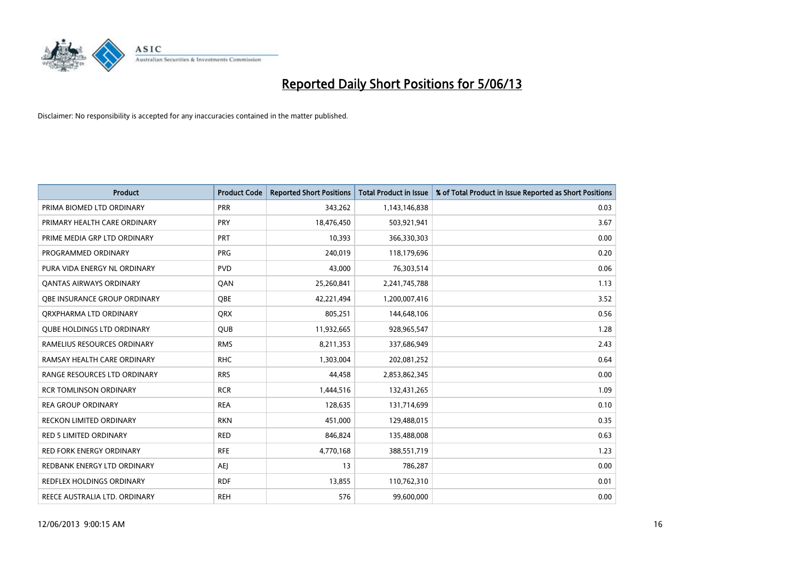

| <b>Product</b>                    | <b>Product Code</b> | <b>Reported Short Positions</b> | <b>Total Product in Issue</b> | % of Total Product in Issue Reported as Short Positions |
|-----------------------------------|---------------------|---------------------------------|-------------------------------|---------------------------------------------------------|
| PRIMA BIOMED LTD ORDINARY         | <b>PRR</b>          | 343,262                         | 1,143,146,838                 | 0.03                                                    |
| PRIMARY HEALTH CARE ORDINARY      | <b>PRY</b>          | 18,476,450                      | 503,921,941                   | 3.67                                                    |
| PRIME MEDIA GRP LTD ORDINARY      | <b>PRT</b>          | 10,393                          | 366,330,303                   | 0.00                                                    |
| PROGRAMMED ORDINARY               | <b>PRG</b>          | 240.019                         | 118,179,696                   | 0.20                                                    |
| PURA VIDA ENERGY NL ORDINARY      | <b>PVD</b>          | 43,000                          | 76,303,514                    | 0.06                                                    |
| <b>QANTAS AIRWAYS ORDINARY</b>    | QAN                 | 25,260,841                      | 2,241,745,788                 | 1.13                                                    |
| OBE INSURANCE GROUP ORDINARY      | <b>OBE</b>          | 42,221,494                      | 1,200,007,416                 | 3.52                                                    |
| ORXPHARMA LTD ORDINARY            | QRX                 | 805,251                         | 144,648,106                   | 0.56                                                    |
| <b>QUBE HOLDINGS LTD ORDINARY</b> | <b>QUB</b>          | 11,932,665                      | 928,965,547                   | 1.28                                                    |
| RAMELIUS RESOURCES ORDINARY       | <b>RMS</b>          | 8,211,353                       | 337,686,949                   | 2.43                                                    |
| RAMSAY HEALTH CARE ORDINARY       | <b>RHC</b>          | 1,303,004                       | 202,081,252                   | 0.64                                                    |
| RANGE RESOURCES LTD ORDINARY      | <b>RRS</b>          | 44,458                          | 2,853,862,345                 | 0.00                                                    |
| <b>RCR TOMLINSON ORDINARY</b>     | <b>RCR</b>          | 1,444,516                       | 132,431,265                   | 1.09                                                    |
| <b>REA GROUP ORDINARY</b>         | <b>REA</b>          | 128,635                         | 131,714,699                   | 0.10                                                    |
| <b>RECKON LIMITED ORDINARY</b>    | <b>RKN</b>          | 451,000                         | 129,488,015                   | 0.35                                                    |
| <b>RED 5 LIMITED ORDINARY</b>     | <b>RED</b>          | 846,824                         | 135,488,008                   | 0.63                                                    |
| <b>RED FORK ENERGY ORDINARY</b>   | <b>RFE</b>          | 4,770,168                       | 388,551,719                   | 1.23                                                    |
| REDBANK ENERGY LTD ORDINARY       | AEJ                 | 13                              | 786,287                       | 0.00                                                    |
| <b>REDFLEX HOLDINGS ORDINARY</b>  | <b>RDF</b>          | 13,855                          | 110,762,310                   | 0.01                                                    |
| REECE AUSTRALIA LTD. ORDINARY     | <b>REH</b>          | 576                             | 99,600,000                    | 0.00                                                    |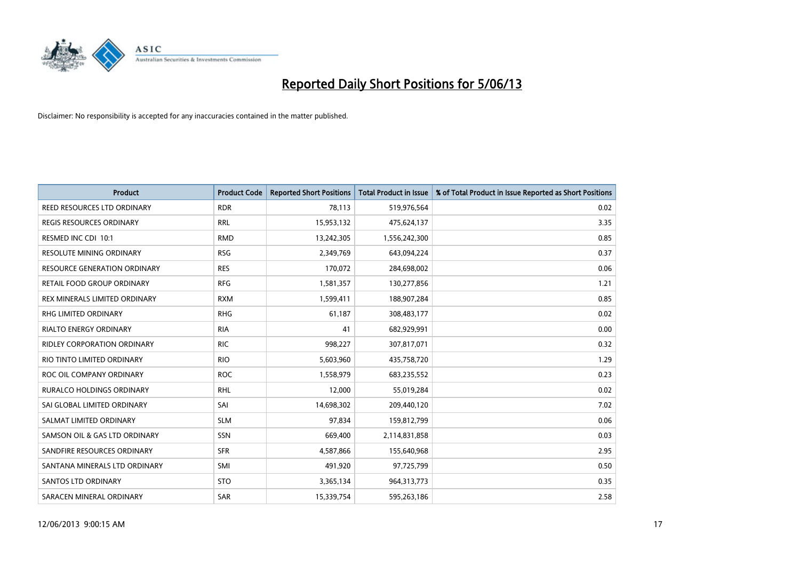

| <b>Product</b>                      | <b>Product Code</b> | <b>Reported Short Positions</b> | <b>Total Product in Issue</b> | % of Total Product in Issue Reported as Short Positions |
|-------------------------------------|---------------------|---------------------------------|-------------------------------|---------------------------------------------------------|
| REED RESOURCES LTD ORDINARY         | <b>RDR</b>          | 78.113                          | 519,976,564                   | 0.02                                                    |
| <b>REGIS RESOURCES ORDINARY</b>     | <b>RRL</b>          | 15,953,132                      | 475,624,137                   | 3.35                                                    |
| RESMED INC CDI 10:1                 | <b>RMD</b>          | 13,242,305                      | 1,556,242,300                 | 0.85                                                    |
| RESOLUTE MINING ORDINARY            | <b>RSG</b>          | 2,349,769                       | 643,094,224                   | 0.37                                                    |
| <b>RESOURCE GENERATION ORDINARY</b> | <b>RES</b>          | 170,072                         | 284,698,002                   | 0.06                                                    |
| RETAIL FOOD GROUP ORDINARY          | <b>RFG</b>          | 1,581,357                       | 130,277,856                   | 1.21                                                    |
| REX MINERALS LIMITED ORDINARY       | <b>RXM</b>          | 1,599,411                       | 188,907,284                   | 0.85                                                    |
| RHG LIMITED ORDINARY                | <b>RHG</b>          | 61,187                          | 308,483,177                   | 0.02                                                    |
| <b>RIALTO ENERGY ORDINARY</b>       | <b>RIA</b>          | 41                              | 682,929,991                   | 0.00                                                    |
| <b>RIDLEY CORPORATION ORDINARY</b>  | <b>RIC</b>          | 998,227                         | 307,817,071                   | 0.32                                                    |
| RIO TINTO LIMITED ORDINARY          | <b>RIO</b>          | 5,603,960                       | 435,758,720                   | 1.29                                                    |
| ROC OIL COMPANY ORDINARY            | <b>ROC</b>          | 1,558,979                       | 683,235,552                   | 0.23                                                    |
| <b>RURALCO HOLDINGS ORDINARY</b>    | <b>RHL</b>          | 12,000                          | 55,019,284                    | 0.02                                                    |
| SAI GLOBAL LIMITED ORDINARY         | SAI                 | 14,698,302                      | 209,440,120                   | 7.02                                                    |
| SALMAT LIMITED ORDINARY             | <b>SLM</b>          | 97,834                          | 159,812,799                   | 0.06                                                    |
| SAMSON OIL & GAS LTD ORDINARY       | SSN                 | 669,400                         | 2,114,831,858                 | 0.03                                                    |
| SANDFIRE RESOURCES ORDINARY         | <b>SFR</b>          | 4,587,866                       | 155,640,968                   | 2.95                                                    |
| SANTANA MINERALS LTD ORDINARY       | SMI                 | 491,920                         | 97,725,799                    | 0.50                                                    |
| SANTOS LTD ORDINARY                 | <b>STO</b>          | 3,365,134                       | 964, 313, 773                 | 0.35                                                    |
| SARACEN MINERAL ORDINARY            | SAR                 | 15,339,754                      | 595,263,186                   | 2.58                                                    |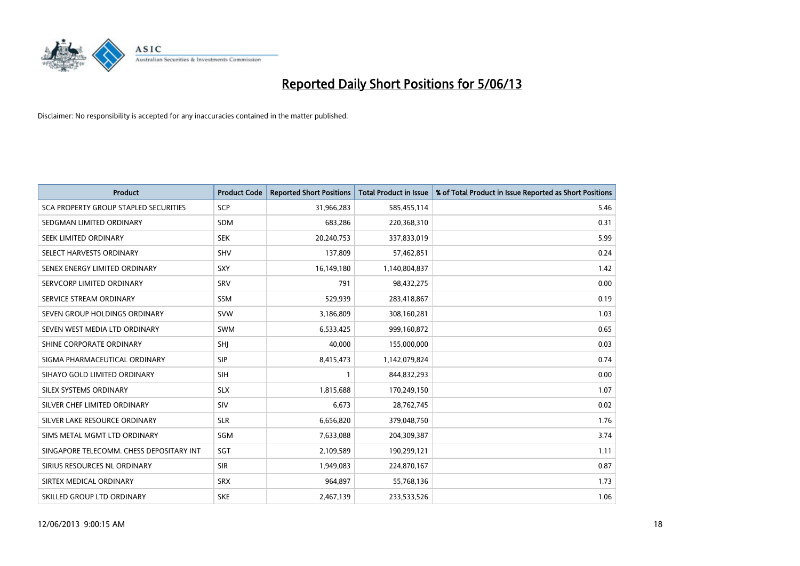

| <b>Product</b>                           | <b>Product Code</b> | <b>Reported Short Positions</b> | <b>Total Product in Issue</b> | % of Total Product in Issue Reported as Short Positions |
|------------------------------------------|---------------------|---------------------------------|-------------------------------|---------------------------------------------------------|
| SCA PROPERTY GROUP STAPLED SECURITIES    | <b>SCP</b>          | 31,966,283                      | 585,455,114                   | 5.46                                                    |
| SEDGMAN LIMITED ORDINARY                 | <b>SDM</b>          | 683,286                         | 220,368,310                   | 0.31                                                    |
| SEEK LIMITED ORDINARY                    | <b>SEK</b>          | 20,240,753                      | 337,833,019                   | 5.99                                                    |
| SELECT HARVESTS ORDINARY                 | <b>SHV</b>          | 137,809                         | 57,462,851                    | 0.24                                                    |
| SENEX ENERGY LIMITED ORDINARY            | <b>SXY</b>          | 16,149,180                      | 1,140,804,837                 | 1.42                                                    |
| SERVCORP LIMITED ORDINARY                | SRV                 | 791                             | 98,432,275                    | 0.00                                                    |
| SERVICE STREAM ORDINARY                  | SSM                 | 529,939                         | 283,418,867                   | 0.19                                                    |
| SEVEN GROUP HOLDINGS ORDINARY            | <b>SVW</b>          | 3,186,809                       | 308,160,281                   | 1.03                                                    |
| SEVEN WEST MEDIA LTD ORDINARY            | <b>SWM</b>          | 6,533,425                       | 999,160,872                   | 0.65                                                    |
| SHINE CORPORATE ORDINARY                 | SHI                 | 40,000                          | 155,000,000                   | 0.03                                                    |
| SIGMA PHARMACEUTICAL ORDINARY            | <b>SIP</b>          | 8,415,473                       | 1,142,079,824                 | 0.74                                                    |
| SIHAYO GOLD LIMITED ORDINARY             | <b>SIH</b>          | 1                               | 844,832,293                   | 0.00                                                    |
| SILEX SYSTEMS ORDINARY                   | <b>SLX</b>          | 1,815,688                       | 170,249,150                   | 1.07                                                    |
| SILVER CHEF LIMITED ORDINARY             | SIV                 | 6,673                           | 28,762,745                    | 0.02                                                    |
| SILVER LAKE RESOURCE ORDINARY            | <b>SLR</b>          | 6,656,820                       | 379,048,750                   | 1.76                                                    |
| SIMS METAL MGMT LTD ORDINARY             | SGM                 | 7,633,088                       | 204,309,387                   | 3.74                                                    |
| SINGAPORE TELECOMM. CHESS DEPOSITARY INT | SGT                 | 2,109,589                       | 190,299,121                   | 1.11                                                    |
| SIRIUS RESOURCES NL ORDINARY             | <b>SIR</b>          | 1,949,083                       | 224,870,167                   | 0.87                                                    |
| SIRTEX MEDICAL ORDINARY                  | <b>SRX</b>          | 964,897                         | 55,768,136                    | 1.73                                                    |
| SKILLED GROUP LTD ORDINARY               | <b>SKE</b>          | 2,467,139                       | 233,533,526                   | 1.06                                                    |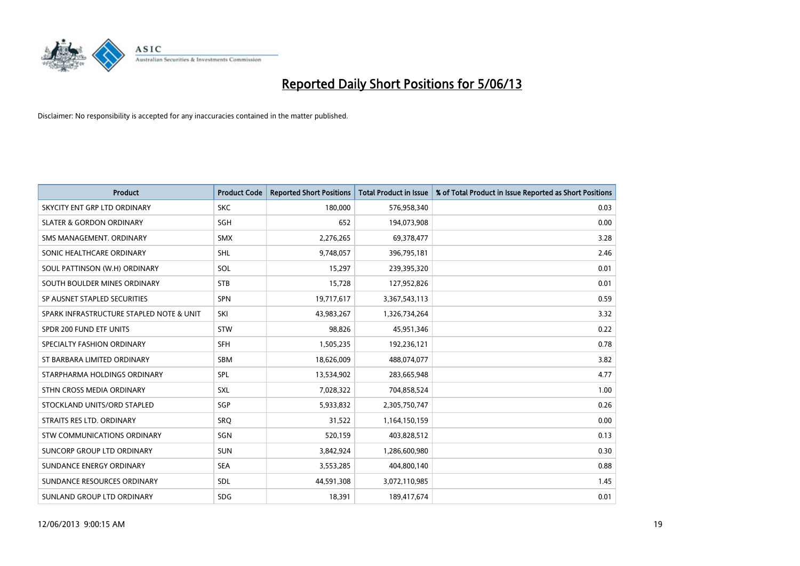

| <b>Product</b>                           | <b>Product Code</b> | <b>Reported Short Positions</b> | <b>Total Product in Issue</b> | % of Total Product in Issue Reported as Short Positions |
|------------------------------------------|---------------------|---------------------------------|-------------------------------|---------------------------------------------------------|
| SKYCITY ENT GRP LTD ORDINARY             | <b>SKC</b>          | 180,000                         | 576,958,340                   | 0.03                                                    |
| <b>SLATER &amp; GORDON ORDINARY</b>      | SGH                 | 652                             | 194,073,908                   | 0.00                                                    |
| SMS MANAGEMENT. ORDINARY                 | <b>SMX</b>          | 2,276,265                       | 69,378,477                    | 3.28                                                    |
| SONIC HEALTHCARE ORDINARY                | <b>SHL</b>          | 9,748,057                       | 396,795,181                   | 2.46                                                    |
| SOUL PATTINSON (W.H) ORDINARY            | <b>SOL</b>          | 15,297                          | 239,395,320                   | 0.01                                                    |
| SOUTH BOULDER MINES ORDINARY             | <b>STB</b>          | 15,728                          | 127,952,826                   | 0.01                                                    |
| SP AUSNET STAPLED SECURITIES             | <b>SPN</b>          | 19,717,617                      | 3,367,543,113                 | 0.59                                                    |
| SPARK INFRASTRUCTURE STAPLED NOTE & UNIT | SKI                 | 43,983,267                      | 1,326,734,264                 | 3.32                                                    |
| SPDR 200 FUND ETF UNITS                  | <b>STW</b>          | 98,826                          | 45,951,346                    | 0.22                                                    |
| SPECIALTY FASHION ORDINARY               | <b>SFH</b>          | 1,505,235                       | 192,236,121                   | 0.78                                                    |
| ST BARBARA LIMITED ORDINARY              | SBM                 | 18,626,009                      | 488,074,077                   | 3.82                                                    |
| STARPHARMA HOLDINGS ORDINARY             | SPL                 | 13,534,902                      | 283,665,948                   | 4.77                                                    |
| STHN CROSS MEDIA ORDINARY                | <b>SXL</b>          | 7,028,322                       | 704,858,524                   | 1.00                                                    |
| STOCKLAND UNITS/ORD STAPLED              | SGP                 | 5,933,832                       | 2,305,750,747                 | 0.26                                                    |
| STRAITS RES LTD. ORDINARY                | SRO                 | 31,522                          | 1,164,150,159                 | 0.00                                                    |
| STW COMMUNICATIONS ORDINARY              | SGN                 | 520,159                         | 403,828,512                   | 0.13                                                    |
| SUNCORP GROUP LTD ORDINARY               | <b>SUN</b>          | 3,842,924                       | 1,286,600,980                 | 0.30                                                    |
| SUNDANCE ENERGY ORDINARY                 | <b>SEA</b>          | 3,553,285                       | 404,800,140                   | 0.88                                                    |
| SUNDANCE RESOURCES ORDINARY              | <b>SDL</b>          | 44,591,308                      | 3,072,110,985                 | 1.45                                                    |
| SUNLAND GROUP LTD ORDINARY               | <b>SDG</b>          | 18,391                          | 189,417,674                   | 0.01                                                    |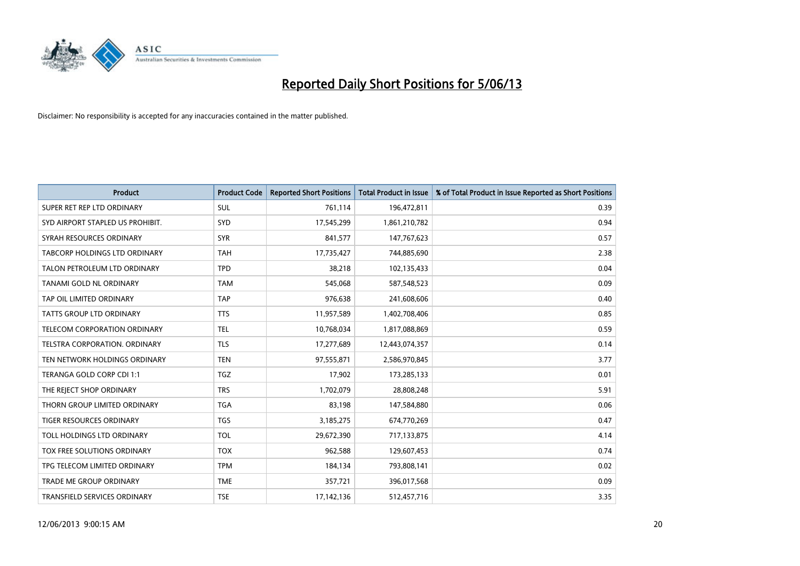

| <b>Product</b>                   | <b>Product Code</b> | <b>Reported Short Positions</b> | <b>Total Product in Issue</b> | % of Total Product in Issue Reported as Short Positions |
|----------------------------------|---------------------|---------------------------------|-------------------------------|---------------------------------------------------------|
| SUPER RET REP LTD ORDINARY       | <b>SUL</b>          | 761,114                         | 196,472,811                   | 0.39                                                    |
| SYD AIRPORT STAPLED US PROHIBIT. | SYD                 | 17,545,299                      | 1,861,210,782                 | 0.94                                                    |
| SYRAH RESOURCES ORDINARY         | <b>SYR</b>          | 841,577                         | 147,767,623                   | 0.57                                                    |
| TABCORP HOLDINGS LTD ORDINARY    | <b>TAH</b>          | 17,735,427                      | 744,885,690                   | 2.38                                                    |
| TALON PETROLEUM LTD ORDINARY     | <b>TPD</b>          | 38,218                          | 102,135,433                   | 0.04                                                    |
| <b>TANAMI GOLD NL ORDINARY</b>   | <b>TAM</b>          | 545,068                         | 587,548,523                   | 0.09                                                    |
| TAP OIL LIMITED ORDINARY         | <b>TAP</b>          | 976,638                         | 241,608,606                   | 0.40                                                    |
| TATTS GROUP LTD ORDINARY         | <b>TTS</b>          | 11,957,589                      | 1,402,708,406                 | 0.85                                                    |
| TELECOM CORPORATION ORDINARY     | <b>TEL</b>          | 10,768,034                      | 1,817,088,869                 | 0.59                                                    |
| TELSTRA CORPORATION, ORDINARY    | <b>TLS</b>          | 17,277,689                      | 12,443,074,357                | 0.14                                                    |
| TEN NETWORK HOLDINGS ORDINARY    | <b>TEN</b>          | 97,555,871                      | 2,586,970,845                 | 3.77                                                    |
| TERANGA GOLD CORP CDI 1:1        | <b>TGZ</b>          | 17,902                          | 173,285,133                   | 0.01                                                    |
| THE REJECT SHOP ORDINARY         | <b>TRS</b>          | 1,702,079                       | 28,808,248                    | 5.91                                                    |
| THORN GROUP LIMITED ORDINARY     | <b>TGA</b>          | 83,198                          | 147,584,880                   | 0.06                                                    |
| TIGER RESOURCES ORDINARY         | <b>TGS</b>          | 3,185,275                       | 674,770,269                   | 0.47                                                    |
| TOLL HOLDINGS LTD ORDINARY       | <b>TOL</b>          | 29,672,390                      | 717,133,875                   | 4.14                                                    |
| TOX FREE SOLUTIONS ORDINARY      | <b>TOX</b>          | 962,588                         | 129,607,453                   | 0.74                                                    |
| TPG TELECOM LIMITED ORDINARY     | <b>TPM</b>          | 184,134                         | 793,808,141                   | 0.02                                                    |
| <b>TRADE ME GROUP ORDINARY</b>   | <b>TME</b>          | 357,721                         | 396,017,568                   | 0.09                                                    |
| TRANSFIELD SERVICES ORDINARY     | <b>TSE</b>          | 17,142,136                      | 512,457,716                   | 3.35                                                    |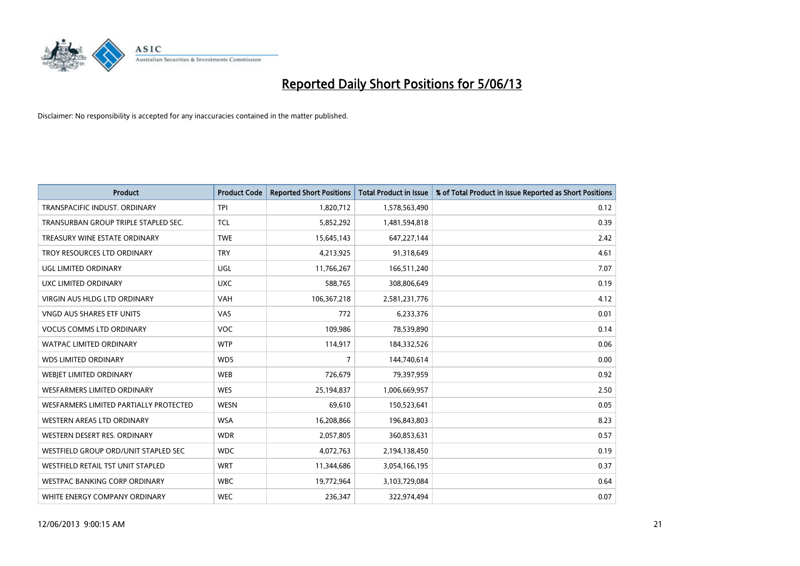

| <b>Product</b>                         | <b>Product Code</b> | <b>Reported Short Positions</b> | <b>Total Product in Issue</b> | % of Total Product in Issue Reported as Short Positions |
|----------------------------------------|---------------------|---------------------------------|-------------------------------|---------------------------------------------------------|
| TRANSPACIFIC INDUST, ORDINARY          | <b>TPI</b>          | 1,820,712                       | 1,578,563,490                 | 0.12                                                    |
| TRANSURBAN GROUP TRIPLE STAPLED SEC.   | <b>TCL</b>          | 5,852,292                       | 1,481,594,818                 | 0.39                                                    |
| TREASURY WINE ESTATE ORDINARY          | <b>TWE</b>          | 15,645,143                      | 647,227,144                   | 2.42                                                    |
| TROY RESOURCES LTD ORDINARY            | <b>TRY</b>          | 4,213,925                       | 91,318,649                    | 4.61                                                    |
| UGL LIMITED ORDINARY                   | UGL                 | 11,766,267                      | 166,511,240                   | 7.07                                                    |
| UXC LIMITED ORDINARY                   | <b>UXC</b>          | 588,765                         | 308,806,649                   | 0.19                                                    |
| <b>VIRGIN AUS HLDG LTD ORDINARY</b>    | <b>VAH</b>          | 106,367,218                     | 2,581,231,776                 | 4.12                                                    |
| VNGD AUS SHARES ETF UNITS              | VAS                 | 772                             | 6,233,376                     | 0.01                                                    |
| <b>VOCUS COMMS LTD ORDINARY</b>        | <b>VOC</b>          | 109,986                         | 78,539,890                    | 0.14                                                    |
| <b>WATPAC LIMITED ORDINARY</b>         | <b>WTP</b>          | 114,917                         | 184,332,526                   | 0.06                                                    |
| <b>WDS LIMITED ORDINARY</b>            | <b>WDS</b>          | $\overline{7}$                  | 144,740,614                   | 0.00                                                    |
| WEBIET LIMITED ORDINARY                | <b>WEB</b>          | 726,679                         | 79,397,959                    | 0.92                                                    |
| <b>WESFARMERS LIMITED ORDINARY</b>     | <b>WES</b>          | 25,194,837                      | 1,006,669,957                 | 2.50                                                    |
| WESFARMERS LIMITED PARTIALLY PROTECTED | <b>WESN</b>         | 69,610                          | 150,523,641                   | 0.05                                                    |
| WESTERN AREAS LTD ORDINARY             | <b>WSA</b>          | 16,208,866                      | 196,843,803                   | 8.23                                                    |
| WESTERN DESERT RES. ORDINARY           | <b>WDR</b>          | 2,057,805                       | 360,853,631                   | 0.57                                                    |
| WESTFIELD GROUP ORD/UNIT STAPLED SEC   | <b>WDC</b>          | 4,072,763                       | 2,194,138,450                 | 0.19                                                    |
| WESTFIELD RETAIL TST UNIT STAPLED      | <b>WRT</b>          | 11,344,686                      | 3,054,166,195                 | 0.37                                                    |
| <b>WESTPAC BANKING CORP ORDINARY</b>   | <b>WBC</b>          | 19,772,964                      | 3,103,729,084                 | 0.64                                                    |
| WHITE ENERGY COMPANY ORDINARY          | <b>WEC</b>          | 236,347                         | 322,974,494                   | 0.07                                                    |